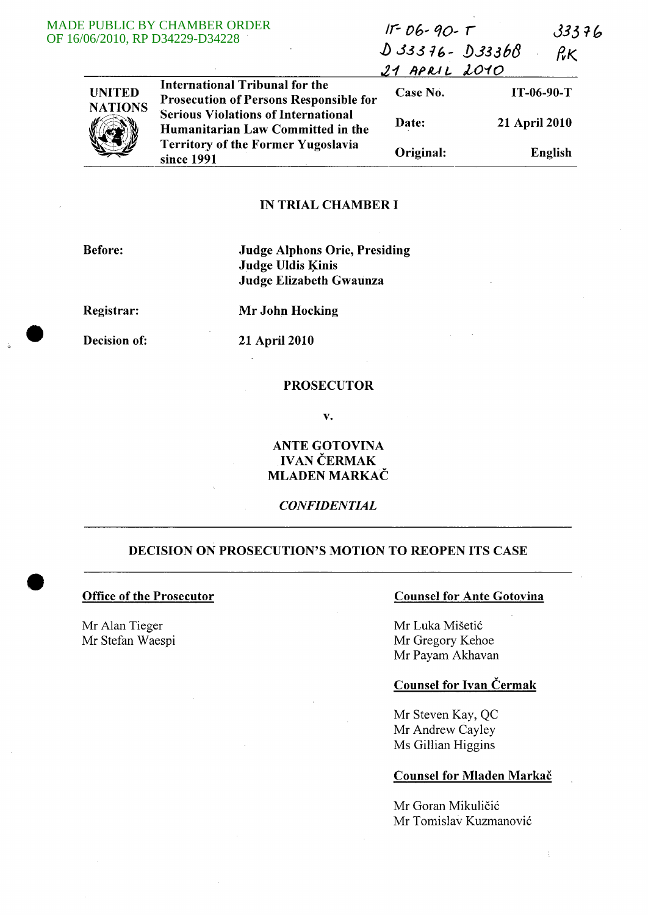#### **MADE** OF 16/0

|                                 | PUBLIC BY CHAMBER ORDER<br>06/2010, RP D34229-D34228                                                                                       | $IF-06-90- T$<br>$D33376 - D33368$<br>$21$ APRIL 2010 |               | 33376<br>$R_{\mathcal{K}}$ |  |
|---------------------------------|--------------------------------------------------------------------------------------------------------------------------------------------|-------------------------------------------------------|---------------|----------------------------|--|
| <b>UNITED</b><br><b>NATIONS</b> | <b>International Tribunal for the</b><br><b>Prosecution of Persons Responsible for</b>                                                     | Case No.                                              |               | $IT-06-90-T$               |  |
|                                 | <b>Serious Violations of International</b><br>Humanitarian Law Committed in the<br><b>Territory of the Former Yugoslavia</b><br>since 1991 | Date:                                                 | 21 April 2010 |                            |  |
|                                 |                                                                                                                                            | Original:                                             | English       |                            |  |

# IN TRIAL CHAMBER I

Before:

Judge Alphons Orie, Presiding Judge Uldis Kinis Judge Elizabeth Gwaunza

Registrar:

Mr John Hocking

Decision of:

21 April 2010

# PROSECUTOR

v.

ANTE GOTOVINA **IVAN ČERMAK** MLADEN MARKAC

*CONFIDENTIAL* 

# DECISION ON PROSECUTION'S MOTION TO REOPEN ITS CASE

## Office of the Prosecutor

Mr Alan Tieger Mr Stefan Waespi

# Counsel for Ante Gotovina

Mr Luka Mišetić Mr Gregory Kehoe Mr Payam Akhavan

## Counsel for Ivan Cermak

Mr Steven Kay, QC Mr Andrew Cayley Ms Gillian Higgins

# Counsel for Mladen Markač

Mr Goran Mikuličić Mr Tomislav Kuzmanović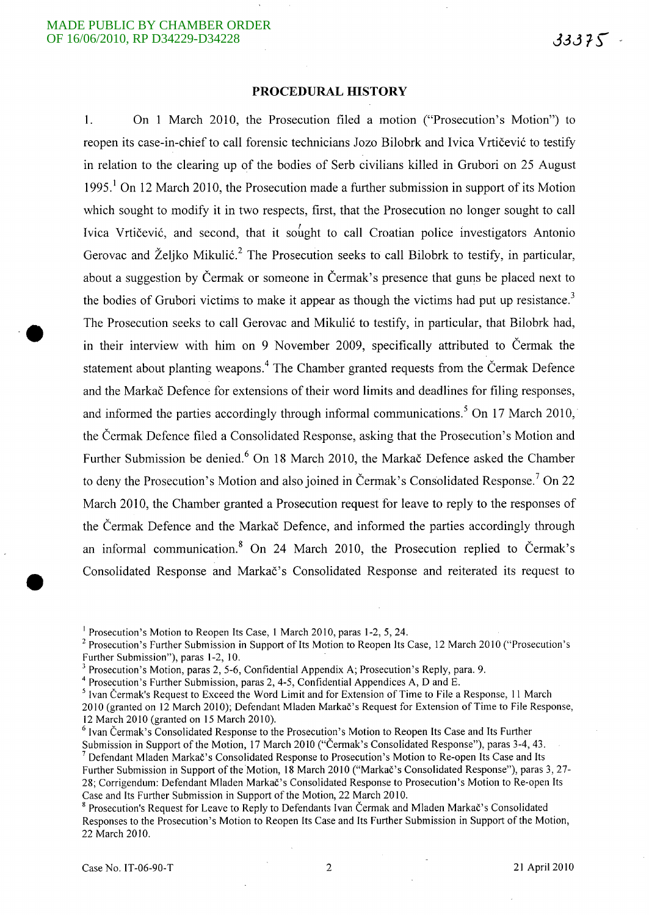**·e** 

•

#### **PROCEDURAL HISTORY**

1. On 1 March 2010, the Prosecution filed a motion ("Prosecution's Motion") to reopen its case-in-chief to call forensic technicians Jozo Bilobrk and Ivica Vrtičević to testify in relation to the clearing up of the bodies of Serb civilians killed in Grubori on 25 August 1995.<sup>1</sup> On 12 March 2010, the Prosecution made a further submission in support of its Motion which sought to modify it in two respects, first, that the Prosecution no longer sought to call Ivica Vrtičević, and second, that it sought to call Croatian police investigators Antonio Gerovac and Željko Mikulić.<sup>2</sup> The Prosecution seeks to call Bilobrk to testify, in particular, about a suggestion by Cermak or someone in Cermak's presence that guns be placed next to the bodies of Grubori victims to make it appear as though the victims had put up resistance.<sup>3</sup> The Prosecution seeks to call Gerovac and Mikulić to testify, in particular, that Bilobrk had, in their interview with him on 9 November 2009, specifically attributed to Cermak the statement about planting weapons.<sup>4</sup> The Chamber granted requests from the Čermak Defence and the Markač Defence for extensions of their word limits and deadlines for filing responses, and informed the parties accordingly through informal communications.<sup>5</sup> On 17 March 2010, the Cermak Defence filed a Consolidated Response, asking that the Prosecution's Motion and Further Submission be denied.<sup>6</sup> On 18 March 2010, the Markač Defence asked the Chamber to deny the Prosecution's Motion and also joined in Čermak's Consolidated Response.<sup>7</sup> On 22 March 2010, the Chamber granted a Prosecution request for leave to reply to the responses of the Cermak Defence and the Markac Defence, and informed the parties accordingly through an informal communication.<sup>8</sup> On 24 March 2010, the Prosecution replied to Čermak's Consolidated Response and Markac's Consolidated Response and reiterated its request to

Submission in Support of the Motion, 17 March 2010 ("Cermak's Consolidated Response"), paras 3-4, 43. 7 Defendant Mladen Markac's Consolidated Response to Prosecution's Motion to Re-open Its Case and Its Further Submission in Support of the Motion, 18 March 2010 ("Markac's Consolidated Response"), paras 3, 27-

28; Corrigendum: Defendant Mladen Markac's Consolidated Response to Prosecution's Motion to Re-open Its Case and Its Further Submission in Support of the Motion, 22 March 2010.

<sup>&</sup>lt;sup>1</sup> Prosecution's Motion to Reopen Its Case, 1 March 2010, paras 1-2, 5, 24.

<sup>2</sup> Prosecution's Further Submission in Support of Its Motion to Reopen Its Case, 12 March 2010 ("Prosecution's Further Submission"), paras 1-2, 10.

<sup>&</sup>lt;sup>3</sup> Prosecution's Motion, paras 2, 5-6, Confidential Appendix A; Prosecution's Reply, para. 9.

 $4$  Prosecution's Further Submission, paras 2, 4-5, Confidential Appendices A, D and E.

<sup>&</sup>lt;sup>5</sup> Ivan Čermak's Request to Exceed the Word Limit and for Extension of Time to File a Response, 11 March

<sup>2010 (</sup>granted on 12 March 2010); Defendant Mladen Markac's Request for Extension of Time to File Response, 12 March 2010 (granted on 15 March 2010).

 $6$  Ivan Čermak's Consolidated Response to the Prosecution's Motion to Reopen Its Case and Its Further

<sup>&</sup>lt;sup>8</sup> Prosecution's Request for Leave to Reply to Defendants Ivan Čermak and Mladen Markač's Consolidated Responses to the Prosecution's Motion to Reopen Its Case and Its Further Submission in Support of the Motion, 22 March 2010.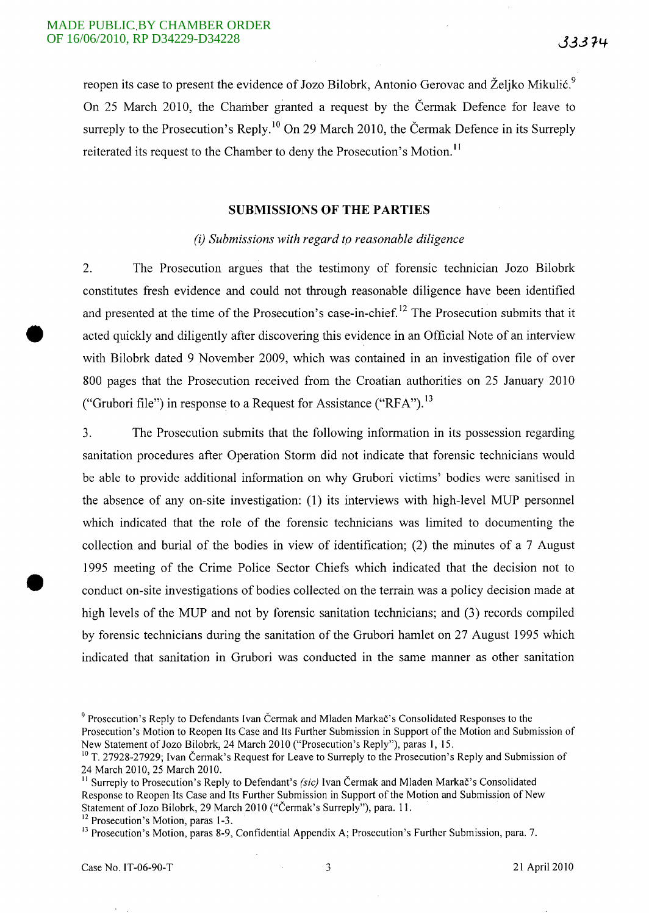reopen its case to present the evidence of Jozo Bilobrk, Antonio Gerovac and Željko Mikulić.<sup>9</sup> On 25 March 2010, the Chamber granted a request by the Cermak Defence for leave to surreply to the Prosecution's Reply.<sup>10</sup> On 29 March 2010, the Čermak Defence in its Surreply reiterated its request to the Chamber to deny the Prosecution's Motion.<sup>11</sup>

#### **SUBMISSIONS OF THE PARTIES**

## (i) *Submissions with regard ro reasonable diligence*

2. The Prosecution argues that the testimony of forensic technician Jozo Bilobrk constitutes fresh evidence and could not through reasonable diligence have been identified and presented at the time of the Prosecution's case-in-chief.<sup>12</sup> The Prosecution submits that it acted quickly and diligently after discovering this evidence in an Official Note of an interview with Bilobrk dated 9 November 2009, which was contained in an investigation file of over 800 pages that the Prosecution received from the Croatian authorities on 25 January 2010 ("Grubori file") in response to a Request for Assistance *("RP* A"). 13

3. The Prosecution submits that the following information in its possession regarding sanitation procedures after Operation Storm did not indicate that forensic technicians would be able to provide additional information on why Grubori victims' bodies were sanitised in the absence of any on-site investigation: (1) its interviews with high-level MUP personnel which indicated that the role of the forensic technicians was limited to documenting the collection and burial of the bodies in view of identification; (2) the minutes of a 7 August 1995 meeting of the Crime Police Sector Chiefs which indicated that the decision not to conduct on-site investigations of bodies collected on the terrain was a policy decision made at high levels of the MUP and not by forensic sanitation technicians; and (3) records compiled by forensic technicians during the sanitation of the Grubori hamlet on 27 August 1995 which indicated that sanitation in Grubori was conducted in the same manner as other sanitation

<sup>13</sup> Prosecution's Motion, paras 8-9, Confidential Appendix A; Prosecution's Further Submission, para. 7.

•

<sup>&</sup>lt;sup>9</sup> Prosecution's Reply to Defendants Ivan Čermak and Mladen Markač's Consolidated Responses to the Prosecution's Motion to Reopen Its Case and Its Further Submission in Support of the Motion and Submission of New Statement of Jozo Bilobrk, 24 March 2010 ("Prosecution's Reply"), paras 1, 15.

<sup>&</sup>lt;sup>10</sup> T. 27928-27929; Ivan Čermak's Request for Leave to Surreply to the Prosecution's Reply and Submission of 24 March 2010, 25 March 2010.

<sup>&</sup>lt;sup>11</sup> Surreply to Prosecution's Reply to Defendant's *(sic)* Ivan Čermak and Mladen Markač's Consolidated Response to Reopen Its Case and Its Further Submission in Support of the Motion and Submission of New Statement of Jozo Bilobrk, 29 March 2010 ("Čermak's Surreply"), para. 11.

<sup>&</sup>lt;sup>12</sup> Prosecution's Motion, paras 1-3.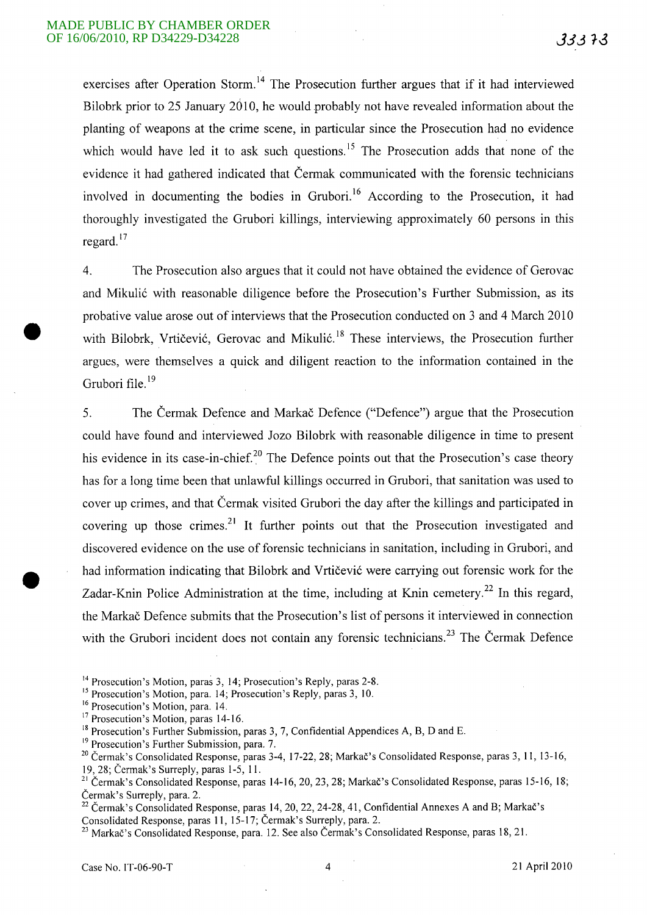exercises after Operation Storm.<sup>14</sup> The Prosecution further argues that if it had interviewed Bilobrk prior to 25 January 2010, he would probably not have revealed information about the planting of weapons at the crime scene, in particular since the Prosecution had no evidence which would have led it to ask such questions.<sup>15</sup> The Prosecution adds that none of the evidence it had gathered indicated that Cermak communicated with the forensic technicians involved in documenting the bodies in Grubori.<sup>16</sup> According to the Prosecution, it had thoroughly investigated the Grubori killings, interviewing approximately 60 persons in this regard. $17$ 

4. The Prosecution also argues that it could not have obtained the evidence of Gerovac and Mikulić with reasonable diligence before the Prosecution's Further Submission, as its probative value arose out of interviews that the Prosecution conducted on 3 and 4 March 2010 with Bilobrk, Vrtičević, Gerovac and Mikulić.<sup>18</sup> These interviews, the Prosecution further argues, were themselves a quick and diligent reaction to the information contained in the Grubori file.<sup>19</sup>

5. The Cermak Defence and Markac Defence ("Defence") argue that the Prosecution could have found and interviewed Jozo Bilobrk with reasonable diligence in time to present his evidence in its case-in-chief.<sup>20</sup> The Defence points out that the Prosecution's case theory has for a long time been that unlawful killings occurred in Grubori, that sanitation was used to cover up crimes, and that Cermak visited Grubori the day after the killings and participated in covering up those crimes.<sup>21</sup> It further points out that the Prosecution investigated and discovered evidence on the use of forensic technicians in sanitation, including in Grubori, and had information indicating that Bilobrk and Vrtičević were carrying out forensic work for the Zadar-Knin Police Administration at the time, including at Knin cemetery.<sup>22</sup> In this regard, the Markac Defence submits that the Prosecution's list of persons it interviewed in connection with the Grubori incident does not contain any forensic technicians.<sup>23</sup> The Čermak Defence

<sup>15</sup> Prosecution's Motion, para. 14; Prosecution's Reply, paras 3, 10.

<sup>19</sup> Prosecution's Further Submission, para. 7.

<sup>23</sup> Markač's Consolidated Response, para. 12. See also Čermak's Consolidated Response, paras 18, 21.

<sup>&</sup>lt;sup>14</sup> Prosecution's Motion, paras 3, 14; Prosecution's Reply, paras 2-8.

<sup>&</sup>lt;sup>16</sup> Prosecution's Motion, para. 14.

<sup>&</sup>lt;sup>17</sup> Prosecution's Motion, paras 14-16.

 $18$  Prosecution's Further Submission, paras 3, 7, Confidential Appendices A, B, D and E.

<sup>&</sup>lt;sup>20</sup> Čermak's Consolidated Response, paras 3-4, 17-22, 28; Markač's Consolidated Response, paras 3, 11, 13-16, 19,28; Cermak's Surreply, paras 1-5, 11.

<sup>&</sup>lt;sup>21</sup> Čermak's Consolidated Response, paras 14-16, 20, 23, 28; Markač's Consolidated Response, paras 15-16, 18; Cermak's Surreply, para. 2.

<sup>&</sup>lt;sup>22</sup> Čermak's Consolidated Response, paras 14, 20, 22, 24-28, 41, Confidential Annexes A and B; Markač's Consolidated Response, paras 11, 15-17; Cermak's Surreply, para. 2.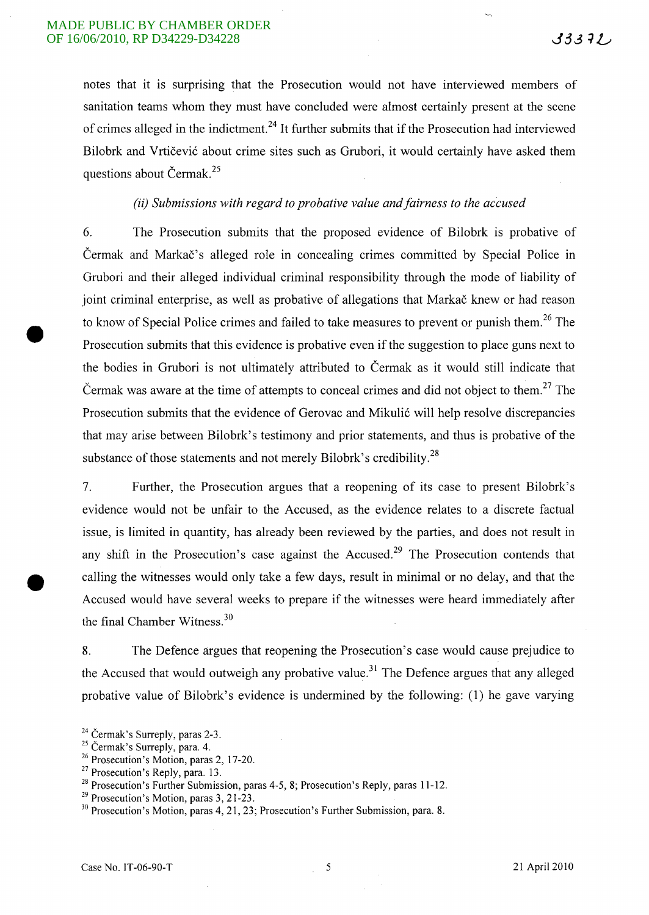notes that it is surprising that the Prosecution would not have interviewed members of sanitation teams whom they must have concluded were almost certainly present at the scene of crimes alleged in the indictment. 24 It further submits that if the Prosecution had interviewed Bilobrk and Vrtičević about crime sites such as Grubori, it would certainly have asked them questions about Cermak.<sup>25</sup>

# *(ii) Submissions with regard to probative value and fairness to the accused*

6. The Prosecution submits that the proposed evidence of Bilobrk is probative of Čermak and Markač's alleged role in concealing crimes committed by Special Police in Grubori and their alleged individual criminal responsibility through the mode of liability of joint criminal enterprise, as well as probative of allegations that Markač knew or had reason to know of Special Police crimes and failed to take measures to prevent or punish them.<sup>26</sup> The Prosecution submits that this evidence is probative even if the suggestion to place guns next to the bodies in Grubori is not ultimately attributed to Cermak as it would still indicate that Cermak was aware at the time of attempts to conceal crimes and did not object to them.<sup>27</sup> The Prosecution submits that the evidence of Gerovac and Mikulic will help resolve discrepancies that may arise between Bilobrk's testimony and prior statements, and thus is probative of the substance of those statements and not merely Bilobrk's credibility.<sup>28</sup>

7. Further, the Prosecution argues that a reopening of its case to present Bilobrk's evidence would not be unfair to the Accused, as the evidence relates to a discrete factual issue, is limited in quantity, has already been reviewed by the parties, and does not result in any shift in the Prosecution's case against the Accused.<sup>29</sup> The Prosecution contends that • calling the witnesses would only take a few days, result in minimal or no delay, and that the Accused would have several weeks to prepare if the witnesses were heard immediately after the final Chamber Witness. 3o

8. The Defence argues that reopening the Prosecution's case would cause prejudice to the Accused that would outweigh any probative value.<sup>31</sup> The Defence argues that any alleged probative value of Bilobrk's evidence is undermined by the following: (1) he gave varying

<sup>&</sup>lt;sup>24</sup> Čermak's Surreply, paras 2-3.

<sup>&</sup>lt;sup>25</sup> Čermak's Surreply, para. 4.

<sup>26</sup> Prosecution's Motion, paras 2, 17-20.

<sup>&</sup>lt;sup>27</sup> Prosecution's Reply, para. 13.

<sup>&</sup>lt;sup>28</sup> Prosecution's Further Submission, paras 4-5, 8; Prosecution's Reply, paras 11-12.

<sup>&</sup>lt;sup>29</sup> Prosecution's Motion, paras 3, 21-23.

<sup>&</sup>lt;sup>30</sup> Prosecution's Motion, paras 4, 21, 23; Prosecution's Further Submission, para. 8.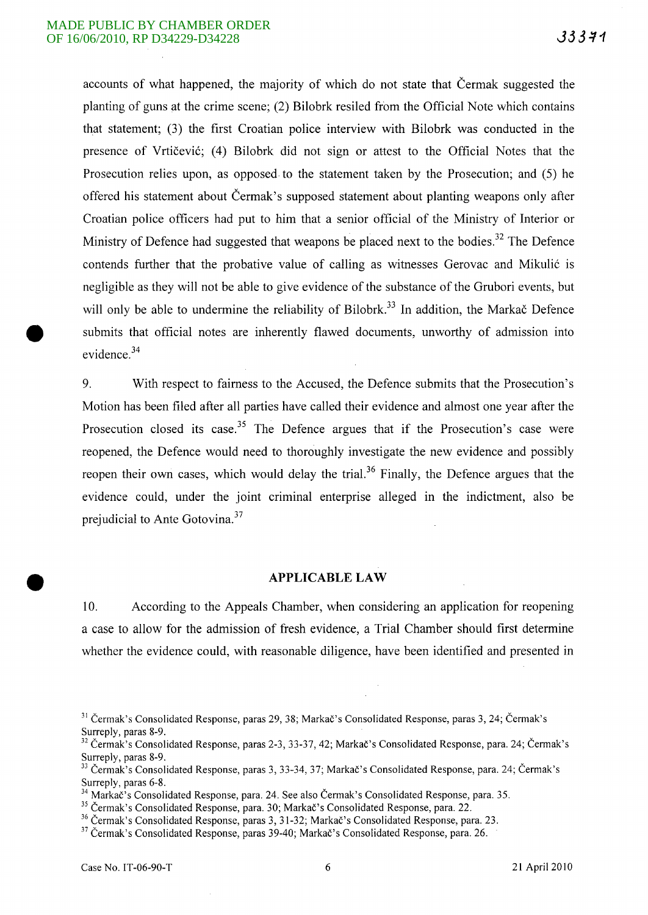accounts of what happened, the majority of which do not state that Cermak suggested the planting of guns at the crime scene; (2) Bilobrk resiled from the Official Note which contains that statement; (3) the first Croatian police interview with Bilobrk was conducted in the presence of Vrtičević; (4) Bilobrk did not sign or attest to the Official Notes that the Prosecution relies upon, as opposed to the statement taken by the Prosecution; and (5) he offered his statement about Cermak's supposed statement about planting weapons only after Croatian police officers had put to him that a senior official of the Ministry of Interior or Ministry of Defence had suggested that weapons be placed next to the bodies.<sup>32</sup> The Defence contends further that the probative value of calling as witnesses Gerovac and Mikulić is negligible as they will not be able to give evidence of the substance of the Grubori events, but will only be able to undermine the reliability of Bilobrk.<sup>33</sup> In addition, the Markac Defence submits that official notes are inherently flawed documents, unworthy of admission into evidence.<sup>34</sup>

9. With respect to fairness to the Accused, the Defence submits that the Prosecution's Motion has been filed after all parties have called their evidence and almost one year after the Prosecution closed its case.<sup>35</sup> The Defence argues that if the Prosecution's case were reopened, the Defence would need to thoroughly investigate the new evidence and possibly reopen their own cases, which would delay the trial.<sup>36</sup> Finally, the Defence argues that the evidence could, under the joint criminal enterprise alleged in the indictment, also be prejudicial to Ante Gotovina.<sup>37</sup>

# **APPLICABLE LAW**

10. According to the Appeals Chamber, when considering an application for reopening a case to allow for the admission of fresh evidence, a Trial Chamber should first determine whether the evidence could, with reasonable diligence, have been identified and presented in

<sup>&</sup>lt;sup>31</sup> Čermak's Consolidated Response, paras 29, 38; Markač's Consolidated Response, paras 3, 24; Čermak's Surreply, paras 8-9.

<sup>&</sup>lt;sup>32</sup> Čermak's Consolidated Response, paras 2-3, 33-37, 42; Markač's Consolidated Response, para. 24; Čermak's Surreply, paras 8-9.

<sup>&</sup>lt;sup>33</sup> Čermak's Consolidated Response, paras 3, 33-34, 37; Markač's Consolidated Response, para. 24; Čermak's Surreply, paras 6-8.

<sup>&</sup>lt;sup>4</sup> Markač's Consolidated Response, para. 24. See also Čermak's Consolidated Response, para. 35.

<sup>&</sup>lt;sup>35</sup> Čermak's Consolidated Response, para. 30; Markač's Consolidated Response, para. 22.

<sup>&</sup>lt;sup>36</sup> Čermak's Consolidated Response, paras 3, 31-32; Markač's Consolidated Response, para. 23.

<sup>&</sup>lt;sup>37</sup> Čermak's Consolidated Response, paras 39-40; Markač's Consolidated Response, para. 26.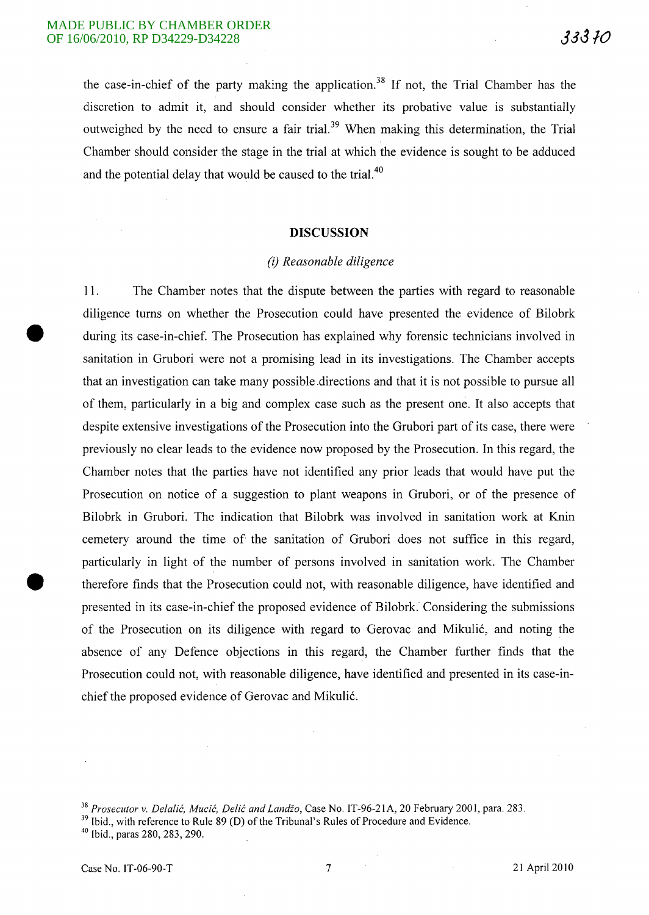the case-in-chief of the party making the application.<sup>38</sup> If not, the Trial Chamber has the discretion to admit it, and should consider whether its probative value is substantially outweighed by the need to ensure a fair trial.<sup>39</sup> When making this determination, the Trial Chamber should consider the stage in the trial at which the evidence is sought to be adduced and the potential delay that would be caused to the trial.<sup>40</sup>

#### **DISCUSSION**

## *(i) Reasonable diligence*

11. The Chamber notes that the dispute between the parties with regard to reasonable diligence turns on whether the Prosecution could have presented the evidence of Bilobrk during its case-in-chief. The Prosecution has explained why forensic technicians involved in sanitation in Grubori were not a promising lead in its investigations. The Chamber accepts that an investigation can take many possible .directions and that it is not possible to pursue all of them, particularly in a big and complex case such as the present one. It also accepts that despite extensive investigations of the Prosecution into the Grubori part of its case, there were previously no clear leads to the evidence now proposed by the Prosecution. In this regard, the Chamber notes that the parties have not identified any prior leads that would have put the Prosecution on notice of a suggestion to plant weapons in Grubori, or of the presence of Bilobrk in Grubori. The indication that Bilobrk was involved in sanitation work at Knin cemetery around the time of the sanitation of Grubori does not suffice in this regard, particularly in light of the number of persons involved in sanitation work. The Chamber therefore finds that the Prosecution could not, with reasonable diligence, have identified and presented in its case-in-chief the proposed evidence of Bilobrk. Considering the submissions of the Prosecution on its diligence with regard to Gerovac and Mikulic, and noting the absence of any Defence objections in this regard, the Chamber further finds that the Prosecution could not, with reasonable diligence, have identified and presented in its case-inchief the proposed evidence of Gerovac and Mikulic.

<sup>&</sup>lt;sup>38</sup> Prosecutor v. Delalić, Mucić, Delić and Landžo, Case No. IT-96-21A, 20 February 2001, para. 283.

<sup>&</sup>lt;sup>39</sup> Ibid., with reference to Rule 89 (D) of the Tribunal's Rules of Procedure and Evidence.

 $40$  Ibid., paras 280, 283, 290.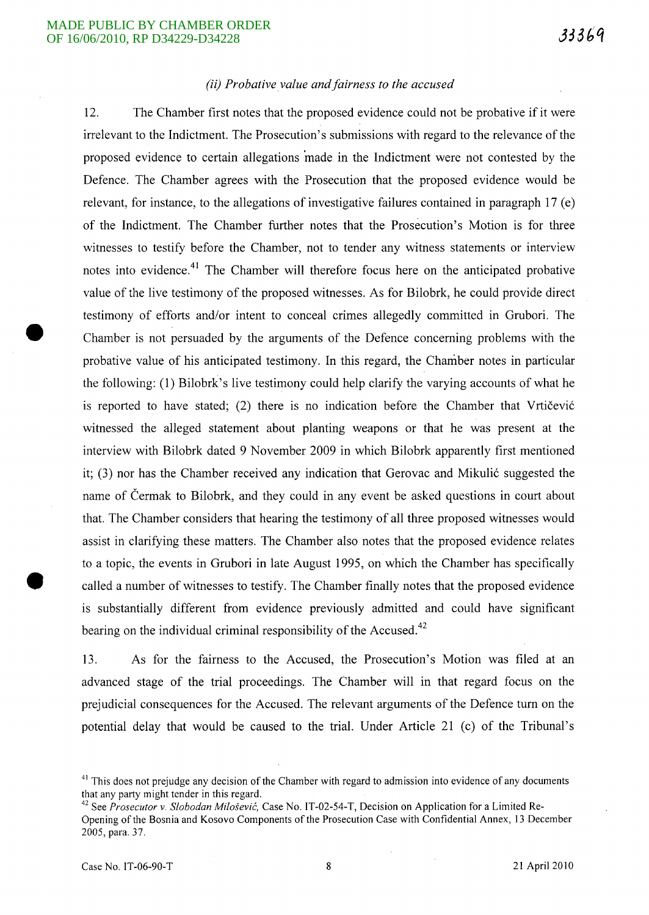# *(ii) Probative value and fairness to the accused*

12. The Chamber first notes that the proposed evidence could not be probative if it were irrelevant to the Indictment. The Prosecution's submissions with regard to the relevance of the proposed evidence to certain allegations 'made in the Indictment were not contested by the Defence. The Chamber agrees with the Prosecution that the proposed evidence would be relevant, for instance, to the allegations of investigative failures contained in paragraph 17 (e) of the Indictment. The Chamber further notes that the Prosecution's Motion is for three witnesses to testify before the Chamber, not to tender any witness statements or interview notes into evidence.<sup>41</sup> The Chamber will therefore focus here on the anticipated probative value of the live testimony of the proposed witnesses. As for Bilobrk, he could provide direct testimony of efforts and/or intent to conceal crimes allegedly committed in Grubori. The Chamber is not persuaded by the arguments of the Defence concerning problems with the probative value of his anticipated testimony. In this regard, the Chamber notes in particular the following: (1) Bilobrk's live testimony could help clarify the varying accounts of what he is reported to have stated; (2) there is no indication before the Chamber that Vrtičević witnessed the alleged statement about planting weapons or that he was present at the interview with Bilobrk dated 9 November 2009 in which Bilobrk apparently first mentioned it;  $(3)$  nor has the Chamber received any indication that Gerovac and Mikulić suggested the name of Čermak to Bilobrk, and they could in any event be asked questions in court about that. The Chamber considers that hearing the testimony of all three proposed witnesses would assist in clarifying these matters. The Chamber also notes that the proposed evidence relates to a topic, the events in Grubori in late August 1995, on which the Chamber has specifically called a number of witnesses to testify. The Chamber finally notes that the proposed evidence is substantially different from evidence previously admitted and could have significant bearing on the individual criminal responsibility of the Accused.<sup>42</sup>

13. As for the fairness to the Accused, the Prosecution's Motion was filed at an advanced stage of the trial proceedings. The Chamber will in that regard focus on the prejudicial consequences for the Accused. The relevant arguments of the Defence turn on the potential delay that would be caused to the trial. Under Article 21 (c) of the Tribunal's

 $41$  This does not prejudge any decision of the Chamber with regard to admission into evidence of any documents that any party might tender in this regard.

<sup>42</sup> See *Prosecutor* v. *Slobodan Milosevic,* Case No. IT -02-54-T, Decision on Application for a Limited Re-Opening of the Bosnia and Kosovo Components of the Prosecution Case with Confidential Annex, 13 December 2005, para. 37.